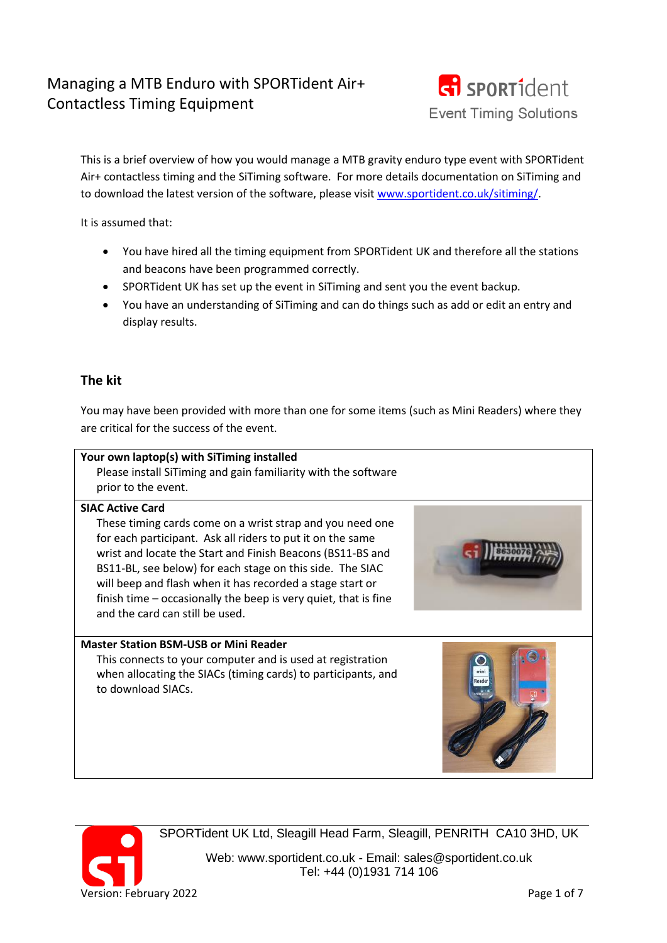# Managing a MTB Enduro with SPORTident Air+ Contactless Timing Equipment



This is a brief overview of how you would manage a MTB gravity enduro type event with SPORTident Air+ contactless timing and the SiTiming software. For more details documentation on SiTiming and to download the latest version of the software, please visit [www.sportident.co.uk/sitiming/.](http://www.sportident.co.uk/sitiming/)

It is assumed that:

- You have hired all the timing equipment from SPORTident UK and therefore all the stations and beacons have been programmed correctly.
- SPORTident UK has set up the event in SiTiming and sent you the event backup.
- You have an understanding of SiTiming and can do things such as add or edit an entry and display results.

# **The kit**

You may have been provided with more than one for some items (such as Mini Readers) where they are critical for the success of the event.





SPORTident UK Ltd, Sleagill Head Farm, Sleagill, PENRITH CA10 3HD, UK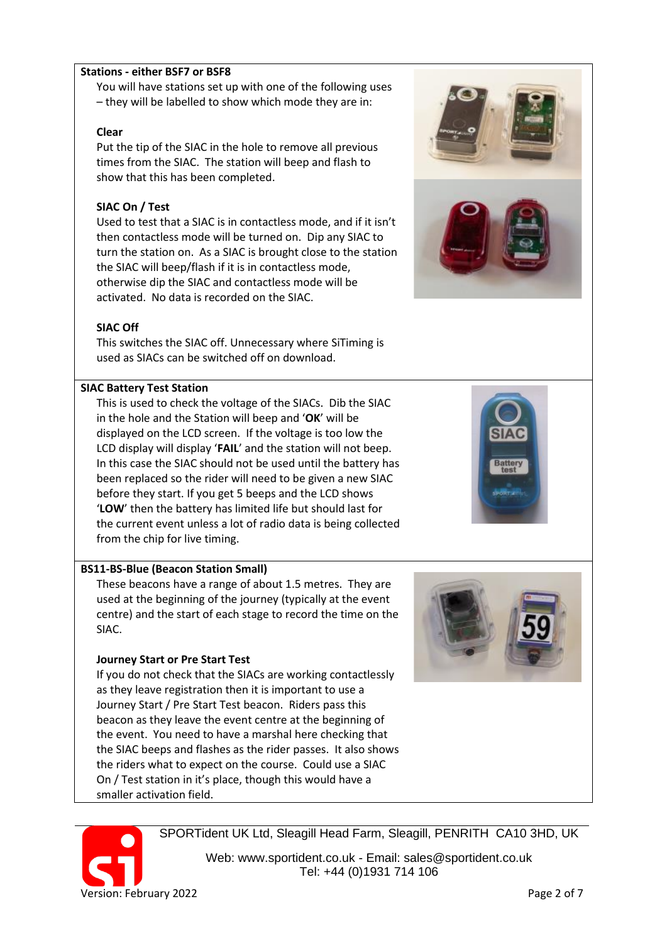### **Stations - either BSF7 or BSF8**

You will have stations set up with one of the following uses – they will be labelled to show which mode they are in:

#### **Clear**

Put the tip of the SIAC in the hole to remove all previous times from the SIAC. The station will beep and flash to show that this has been completed.

### **SIAC On / Test**

Used to test that a SIAC is in contactless mode, and if it isn't then contactless mode will be turned on. Dip any SIAC to turn the station on. As a SIAC is brought close to the station the SIAC will beep/flash if it is in contactless mode, otherwise dip the SIAC and contactless mode will be activated. No data is recorded on the SIAC.

### **SIAC Off**

This switches the SIAC off. Unnecessary where SiTiming is used as SIACs can be switched off on download.

### **SIAC Battery Test Station**

This is used to check the voltage of the SIACs. Dib the SIAC in the hole and the Station will beep and '**OK**' will be displayed on the LCD screen. If the voltage is too low the LCD display will display '**FAIL**' and the station will not beep. In this case the SIAC should not be used until the battery has been replaced so the rider will need to be given a new SIAC before they start. If you get 5 beeps and the LCD shows '**LOW**' then the battery has limited life but should last for the current event unless a lot of radio data is being collected from the chip for live timing.

#### **BS11-BS-Blue (Beacon Station Small)**

These beacons have a range of about 1.5 metres. They are used at the beginning of the journey (typically at the event centre) and the start of each stage to record the time on the SIAC.

#### **Journey Start or Pre Start Test**

If you do not check that the SIACs are working contactlessly as they leave registration then it is important to use a Journey Start / Pre Start Test beacon. Riders pass this beacon as they leave the event centre at the beginning of the event. You need to have a marshal here checking that the SIAC beeps and flashes as the rider passes. It also shows the riders what to expect on the course. Could use a SIAC On / Test station in it's place, though this would have a smaller activation field.



SPORTident UK Ltd, Sleagill Head Farm, Sleagill, PENRITH CA10 3HD, UK







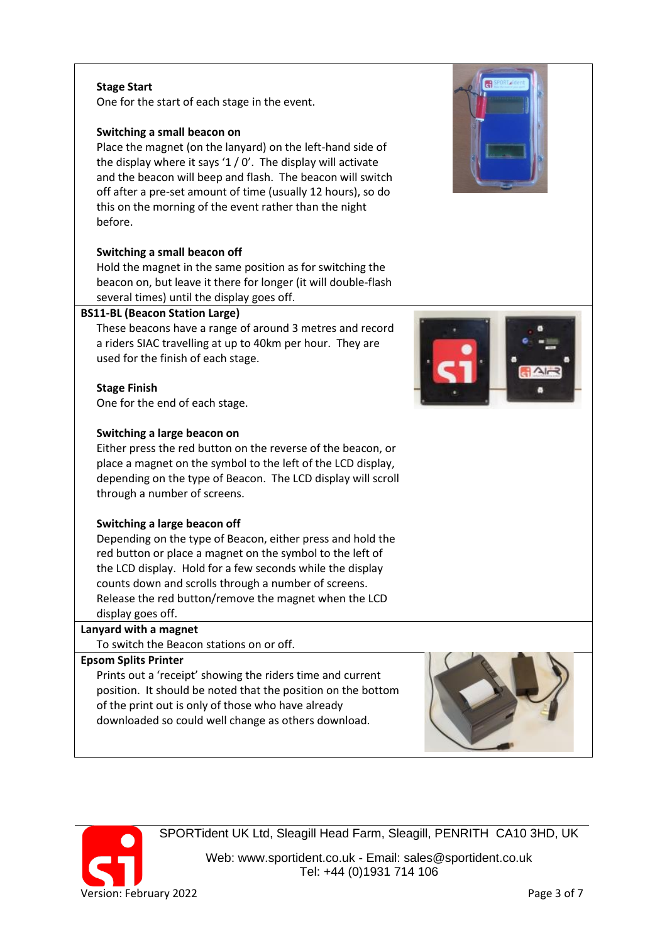### **Stage Start**

One for the start of each stage in the event.

### **Switching a small beacon on**

Place the magnet (on the lanyard) on the left-hand side of the display where it says ' $1/0'$ . The display will activate and the beacon will beep and flash. The beacon will switch off after a pre-set amount of time (usually 12 hours), so do this on the morning of the event rather than the night before.

### **Switching a small beacon off**

Hold the magnet in the same position as for switching the beacon on, but leave it there for longer (it will double-flash several times) until the display goes off.

#### **BS11-BL (Beacon Station Large)**

These beacons have a range of around 3 metres and record a riders SIAC travelling at up to 40km per hour. They are used for the finish of each stage.

### **Stage Finish**

One for the end of each stage.

#### **Switching a large beacon on**

Either press the red button on the reverse of the beacon, or place a magnet on the symbol to the left of the LCD display, depending on the type of Beacon. The LCD display will scroll through a number of screens.

#### **Switching a large beacon off**

Depending on the type of Beacon, either press and hold the red button or place a magnet on the symbol to the left of the LCD display. Hold for a few seconds while the display counts down and scrolls through a number of screens. Release the red button/remove the magnet when the LCD display goes off.

# **Lanyard with a magnet**

To switch the Beacon stations on or off.

### **Epsom Splits Printer**

Prints out a 'receipt' showing the riders time and current position. It should be noted that the position on the bottom of the print out is only of those who have already downloaded so could well change as others download.

SPORTident UK Ltd, Sleagill Head Farm, Sleagill, PENRITH CA10 3HD, UK







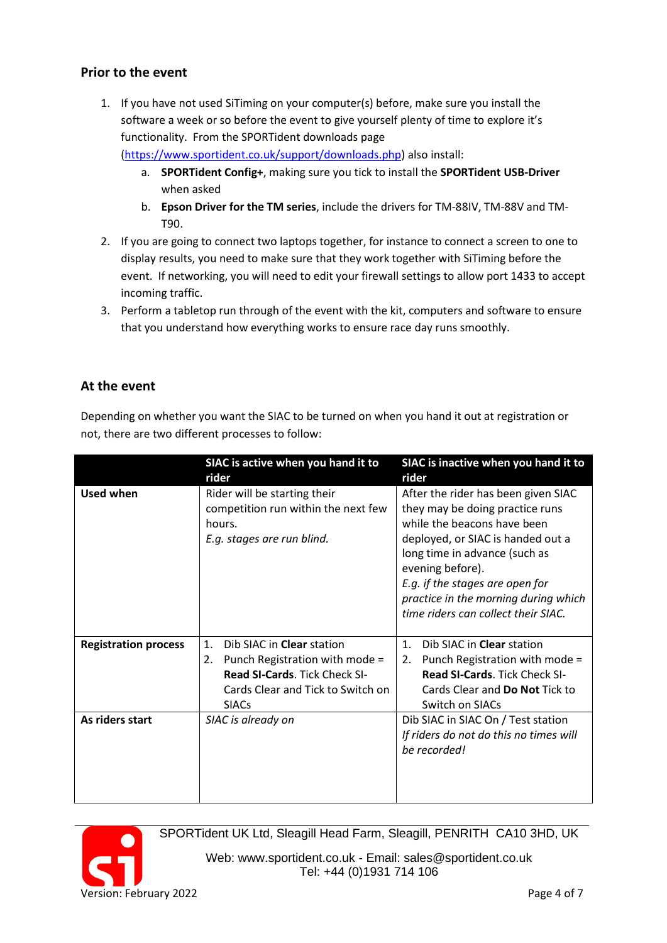# **Prior to the event**

1. If you have not used SiTiming on your computer(s) before, make sure you install the software a week or so before the event to give yourself plenty of time to explore it's functionality. From the SPORTident downloads page

[\(https://www.sportident.co.uk/support/downloads.php\)](https://www.sportident.co.uk/support/downloads.php) also install:

- a. **SPORTident Config+**, making sure you tick to install the **SPORTident USB-Driver** when asked
- b. **Epson Driver for the TM series**, include the drivers for TM-88IV, TM-88V and TM-T90.
- 2. If you are going to connect two laptops together, for instance to connect a screen to one to display results, you need to make sure that they work together with SiTiming before the event. If networking, you will need to edit your firewall settings to allow port 1433 to accept incoming traffic.
- 3. Perform a tabletop run through of the event with the kit, computers and software to ensure that you understand how everything works to ensure race day runs smoothly.

# **At the event**

Depending on whether you want the SIAC to be turned on when you hand it out at registration or not, there are two different processes to follow:

|                             | SIAC is active when you hand it to<br>rider                                                                                                                                      | SIAC is inactive when you hand it to<br>rider                                                                                                                                                                                                                                                                     |
|-----------------------------|----------------------------------------------------------------------------------------------------------------------------------------------------------------------------------|-------------------------------------------------------------------------------------------------------------------------------------------------------------------------------------------------------------------------------------------------------------------------------------------------------------------|
| Used when                   | Rider will be starting their<br>competition run within the next few<br>hours.<br>E.g. stages are run blind.                                                                      | After the rider has been given SIAC<br>they may be doing practice runs<br>while the beacons have been<br>deployed, or SIAC is handed out a<br>long time in advance (such as<br>evening before).<br>E.g. if the stages are open for<br>practice in the morning during which<br>time riders can collect their SIAC. |
| <b>Registration process</b> | Dib SIAC in Clear station<br>1 <sub>1</sub><br>Punch Registration with mode =<br>2.<br><b>Read SI-Cards. Tick Check SI-</b><br>Cards Clear and Tick to Switch on<br><b>SIACs</b> | Dib SIAC in Clear station<br>$\mathbf{1}$ .<br>Punch Registration with mode =<br>2.<br><b>Read SI-Cards. Tick Check SI-</b><br>Cards Clear and Do Not Tick to<br>Switch on SIACs                                                                                                                                  |
| As riders start             | SIAC is already on                                                                                                                                                               | Dib SIAC in SIAC On / Test station<br>If riders do not do this no times will<br>be recorded!                                                                                                                                                                                                                      |



SPORTident UK Ltd, Sleagill Head Farm, Sleagill, PENRITH CA10 3HD, UK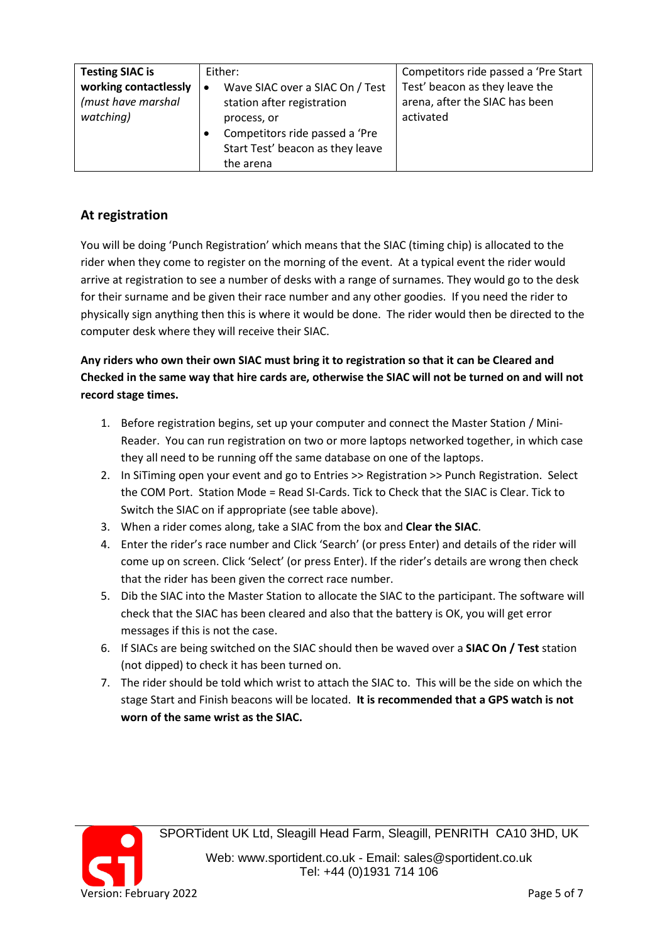| <b>Testing SIAC is</b><br>working contactlessly<br>(must have marshal<br>watching) | Either:<br>Wave SIAC over a SIAC On / Test<br>station after registration<br>process, or<br>Competitors ride passed a 'Pre | Competitors ride passed a 'Pre Start<br>Test' beacon as they leave the<br>arena, after the SIAC has been<br>activated |
|------------------------------------------------------------------------------------|---------------------------------------------------------------------------------------------------------------------------|-----------------------------------------------------------------------------------------------------------------------|
|                                                                                    | Start Test' beacon as they leave<br>the arena                                                                             |                                                                                                                       |

# **At registration**

You will be doing 'Punch Registration' which means that the SIAC (timing chip) is allocated to the rider when they come to register on the morning of the event. At a typical event the rider would arrive at registration to see a number of desks with a range of surnames. They would go to the desk for their surname and be given their race number and any other goodies. If you need the rider to physically sign anything then this is where it would be done. The rider would then be directed to the computer desk where they will receive their SIAC.

# **Any riders who own their own SIAC must bring it to registration so that it can be Cleared and Checked in the same way that hire cards are, otherwise the SIAC will not be turned on and will not record stage times.**

- 1. Before registration begins, set up your computer and connect the Master Station / Mini-Reader. You can run registration on two or more laptops networked together, in which case they all need to be running off the same database on one of the laptops.
- 2. In SiTiming open your event and go to Entries >> Registration >> Punch Registration. Select the COM Port. Station Mode = Read SI-Cards. Tick to Check that the SIAC is Clear. Tick to Switch the SIAC on if appropriate (see table above).
- 3. When a rider comes along, take a SIAC from the box and **Clear the SIAC**.
- 4. Enter the rider's race number and Click 'Search' (or press Enter) and details of the rider will come up on screen. Click 'Select' (or press Enter). If the rider's details are wrong then check that the rider has been given the correct race number.
- 5. Dib the SIAC into the Master Station to allocate the SIAC to the participant. The software will check that the SIAC has been cleared and also that the battery is OK, you will get error messages if this is not the case.
- 6. If SIACs are being switched on the SIAC should then be waved over a **SIAC On / Test** station (not dipped) to check it has been turned on.
- 7. The rider should be told which wrist to attach the SIAC to. This will be the side on which the stage Start and Finish beacons will be located. **It is recommended that a GPS watch is not worn of the same wrist as the SIAC.**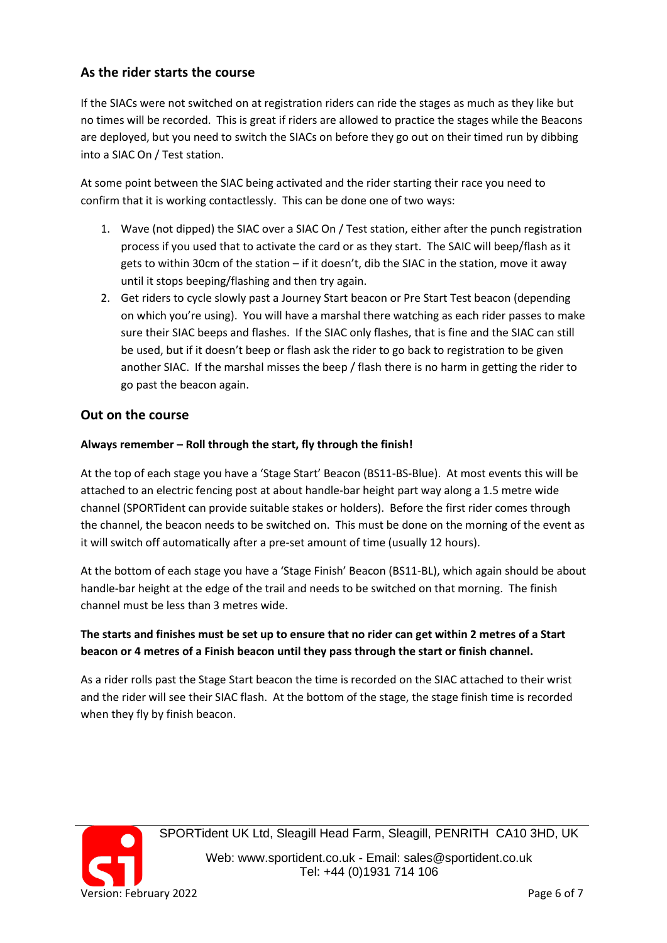# **As the rider starts the course**

If the SIACs were not switched on at registration riders can ride the stages as much as they like but no times will be recorded. This is great if riders are allowed to practice the stages while the Beacons are deployed, but you need to switch the SIACs on before they go out on their timed run by dibbing into a SIAC On / Test station.

At some point between the SIAC being activated and the rider starting their race you need to confirm that it is working contactlessly. This can be done one of two ways:

- 1. Wave (not dipped) the SIAC over a SIAC On / Test station, either after the punch registration process if you used that to activate the card or as they start. The SAIC will beep/flash as it gets to within 30cm of the station – if it doesn't, dib the SIAC in the station, move it away until it stops beeping/flashing and then try again.
- 2. Get riders to cycle slowly past a Journey Start beacon or Pre Start Test beacon (depending on which you're using). You will have a marshal there watching as each rider passes to make sure their SIAC beeps and flashes. If the SIAC only flashes, that is fine and the SIAC can still be used, but if it doesn't beep or flash ask the rider to go back to registration to be given another SIAC. If the marshal misses the beep / flash there is no harm in getting the rider to go past the beacon again.

### **Out on the course**

### **Always remember – Roll through the start, fly through the finish!**

At the top of each stage you have a 'Stage Start' Beacon (BS11-BS-Blue). At most events this will be attached to an electric fencing post at about handle-bar height part way along a 1.5 metre wide channel (SPORTident can provide suitable stakes or holders). Before the first rider comes through the channel, the beacon needs to be switched on. This must be done on the morning of the event as it will switch off automatically after a pre-set amount of time (usually 12 hours).

At the bottom of each stage you have a 'Stage Finish' Beacon (BS11-BL), which again should be about handle-bar height at the edge of the trail and needs to be switched on that morning. The finish channel must be less than 3 metres wide.

# **The starts and finishes must be set up to ensure that no rider can get within 2 metres of a Start beacon or 4 metres of a Finish beacon until they pass through the start or finish channel.**

As a rider rolls past the Stage Start beacon the time is recorded on the SIAC attached to their wrist and the rider will see their SIAC flash. At the bottom of the stage, the stage finish time is recorded when they fly by finish beacon.



SPORTident UK Ltd, Sleagill Head Farm, Sleagill, PENRITH CA10 3HD, UK